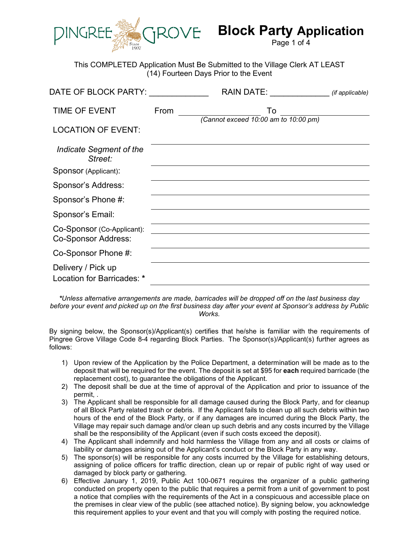

# **Block Party Application**

Page 1 of 4

This COMPLETED Application Must Be Submitted to the Village Clerk AT LEAST (14) Fourteen Days Prior to the Event

| DATE OF BLOCK PARTY:                                     |      | <b>RAIN DATE:</b>                          | (if applicable) |
|----------------------------------------------------------|------|--------------------------------------------|-----------------|
| <b>TIME OF EVENT</b>                                     | From | To<br>(Cannot exceed 10:00 am to 10:00 pm) |                 |
| <b>LOCATION OF EVENT:</b>                                |      |                                            |                 |
| Indicate Segment of the<br>Street:                       |      |                                            |                 |
| Sponsor (Applicant):                                     |      |                                            |                 |
| Sponsor's Address:                                       |      |                                            |                 |
| Sponsor's Phone #:                                       |      |                                            |                 |
| Sponsor's Email:                                         |      |                                            |                 |
| Co-Sponsor (Co-Applicant):<br><b>Co-Sponsor Address:</b> |      |                                            |                 |
| Co-Sponsor Phone #:                                      |      |                                            |                 |
| Delivery / Pick up<br>Location for Barricades: *         |      |                                            |                 |

*\*Unless alternative arrangements are made, barricades will be dropped off on the last business day before your event and picked up on the first business day after your event at Sponsor's address by Public Works.*

By signing below, the Sponsor(s)/Applicant(s) certifies that he/she is familiar with the requirements of Pingree Grove Village Code 8-4 regarding Block Parties. The Sponsor(s)/Applicant(s) further agrees as follows:

- 1) Upon review of the Application by the Police Department, a determination will be made as to the deposit that will be required for the event. The deposit is set at \$95 for **each** required barricade (the replacement cost), to guarantee the obligations of the Applicant.
- 2) The deposit shall be due at the time of approval of the Application and prior to issuance of the permit, .
- 3) The Applicant shall be responsible for all damage caused during the Block Party, and for cleanup of all Block Party related trash or debris. If the Applicant fails to clean up all such debris within two hours of the end of the Block Party, or if any damages are incurred during the Block Party, the Village may repair such damage and/or clean up such debris and any costs incurred by the Village shall be the responsibility of the Applicant (even if such costs exceed the deposit).
- 4) The Applicant shall indemnify and hold harmless the Village from any and all costs or claims of liability or damages arising out of the Applicant's conduct or the Block Party in any way.
- 5) The sponsor(s) will be responsible for any costs incurred by the Village for establishing detours, assigning of police officers for traffic direction, clean up or repair of public right of way used or damaged by block party or gathering.
- 6) Effective January 1, 2019, Public Act 100-0671 requires the organizer of a public gathering conducted on property open to the public that requires a permit from a unit of government to post a notice that complies with the requirements of the Act in a conspicuous and accessible place on the premises in clear view of the public (see attached notice). By signing below, you acknowledge this requirement applies to your event and that you will comply with posting the required notice.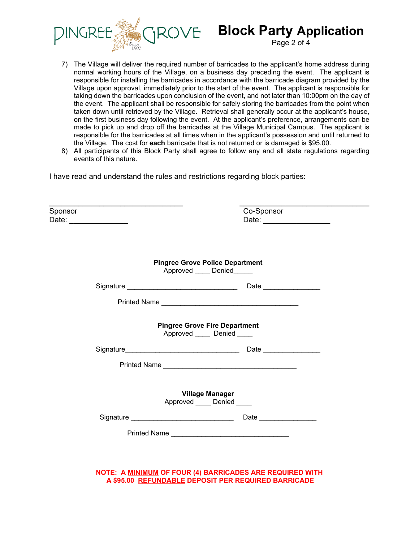

# **DVE Block Party Application**

Page 2 of 4

- 7) The Village will deliver the required number of barricades to the applicant's home address during normal working hours of the Village, on a business day preceding the event. The applicant is responsible for installing the barricades in accordance with the barricade diagram provided by the Village upon approval, immediately prior to the start of the event. The applicant is responsible for taking down the barricades upon conclusion of the event, and not later than 10:00pm on the day of the event. The applicant shall be responsible for safely storing the barricades from the point when taken down until retrieved by the Village. Retrieval shall generally occur at the applicant's house, on the first business day following the event. At the applicant's preference, arrangements can be made to pick up and drop off the barricades at the Village Municipal Campus. The applicant is responsible for the barricades at all times when in the applicant's possession and until returned to the Village. The cost for **each** barricade that is not returned or is damaged is \$95.00.
- 8) All participants of this Block Party shall agree to follow any and all state regulations regarding events of this nature.

I have read and understand the rules and restrictions regarding block parties:

| Sponsor | Date: ______________ | Co-Sponsor                                                               |
|---------|----------------------|--------------------------------------------------------------------------|
|         |                      | <b>Pingree Grove Police Department</b><br>Approved _____ Denied______    |
|         |                      |                                                                          |
|         |                      |                                                                          |
|         |                      | <b>Pingree Grove Fire Department</b><br>Approved Denied                  |
|         |                      |                                                                          |
|         |                      |                                                                          |
|         |                      | <b>Village Manager</b><br>Approved _____ Denied ____                     |
|         |                      | Date ___________________<br>Signature __________________________________ |
|         |                      |                                                                          |

**NOTE: A MINIMUM OF FOUR (4) BARRICADES ARE REQUIRED WITH A \$95.00 REFUNDABLE DEPOSIT PER REQUIRED BARRICADE**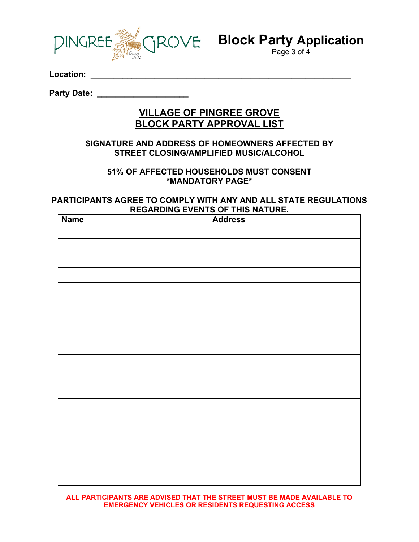

**Block Party Application**

Page 3 of 4

**Location: \_\_\_\_\_\_\_\_\_\_\_\_\_\_\_\_\_\_\_\_\_\_\_\_\_\_\_\_\_\_\_\_\_\_\_\_\_\_\_\_\_\_\_\_\_\_\_\_\_\_\_\_\_\_\_\_\_** 

**Party Date: \_\_\_\_\_\_\_\_\_\_\_\_\_\_\_\_\_\_\_\_** 

#### **VILLAGE OF PINGREE GROVE BLOCK PARTY APPROVAL LIST**

#### **SIGNATURE AND ADDRESS OF HOMEOWNERS AFFECTED BY STREET CLOSING/AMPLIFIED MUSIC/ALCOHOL**

#### **51% OF AFFECTED HOUSEHOLDS MUST CONSENT \*MANDATORY PAGE\***

#### **PARTICIPANTS AGREE TO COMPLY WITH ANY AND ALL STATE REGULATIONS REGARDING EVENTS OF THIS NATURE.**

| <b>Name</b> | <b>Address</b> |
|-------------|----------------|
|             |                |
|             |                |
|             |                |
|             |                |
|             |                |
|             |                |
|             |                |
|             |                |
|             |                |
|             |                |
|             |                |
|             |                |
|             |                |
|             |                |
|             |                |
|             |                |
|             |                |
|             |                |
|             |                |
|             |                |
|             |                |
|             |                |
|             |                |
|             |                |

**ALL PARTICIPANTS ARE ADVISED THAT THE STREET MUST BE MADE AVAILABLE TO EMERGENCY VEHICLES OR RESIDENTS REQUESTING ACCESS**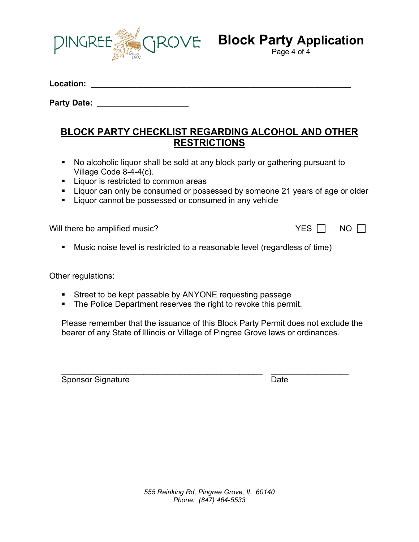

# **ROVE** Block Party Application

Page 4 of 4

**Location: \_\_\_\_\_\_\_\_\_\_\_\_\_\_\_\_\_\_\_\_\_\_\_\_\_\_\_\_\_\_\_\_\_\_\_\_\_\_\_\_\_\_\_\_\_\_\_\_\_\_\_\_\_\_\_\_\_**

**Party Date: \_\_\_\_\_\_\_\_\_\_\_\_\_\_\_\_\_\_\_\_**

#### **BLOCK PARTY CHECKLIST REGARDING ALCOHOL AND OTHER RESTRICTIONS**

- No alcoholic liquor shall be sold at any block party or gathering pursuant to Village Code 8-4-4(c).
- **Liquor is restricted to common areas**
- **Liquor can only be consumed or possessed by someone 21 years of age or older**
- **EXECT** Liquor cannot be possessed or consumed in any vehicle

Will there be amplified music?  $VES \Box NO \Box$ 

Music noise level is restricted to a reasonable level (regardless of time)

Other regulations:

- **Street to be kept passable by ANYONE requesting passage**
- **The Police Department reserves the right to revoke this permit.**

Please remember that the issuance of this Block Party Permit does not exclude the bearer of any State of Illinois or Village of Pingree Grove laws or ordinances.

\_\_\_\_\_\_\_\_\_\_\_\_\_\_\_\_\_\_\_\_\_\_\_\_\_\_\_\_\_\_\_\_\_\_\_\_\_\_\_\_\_\_\_\_ \_\_\_\_\_\_\_\_\_\_\_\_\_\_\_\_\_ Sponsor Signature Date